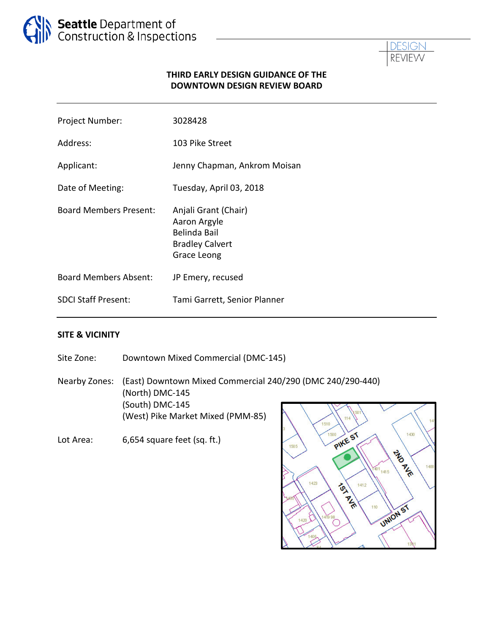



### **THIRD EARLY DESIGN GUIDANCE OF THE DOWNTOWN DESIGN REVIEW BOARD**

| Project Number:               | 3028428                                                                                       |
|-------------------------------|-----------------------------------------------------------------------------------------------|
| Address:                      | 103 Pike Street                                                                               |
| Applicant:                    | Jenny Chapman, Ankrom Moisan                                                                  |
| Date of Meeting:              | Tuesday, April 03, 2018                                                                       |
| <b>Board Members Present:</b> | Anjali Grant (Chair)<br>Aaron Argyle<br>Belinda Bail<br><b>Bradley Calvert</b><br>Grace Leong |
| <b>Board Members Absent:</b>  | JP Emery, recused                                                                             |
| <b>SDCI Staff Present:</b>    | Tami Garrett, Senior Planner                                                                  |

#### **SITE & VICINITY**

Site Zone: Downtown Mixed Commercial (DMC-145) Nearby Zones: (East) Downtown Mixed Commercial 240/290 (DMC 240/290-440) (North) DMC-145 (South) DMC-145 (West) Pike Market Mixed (PMM-85) 1510 1500

Lot Area: 6,654 square feet (sq. ft.)

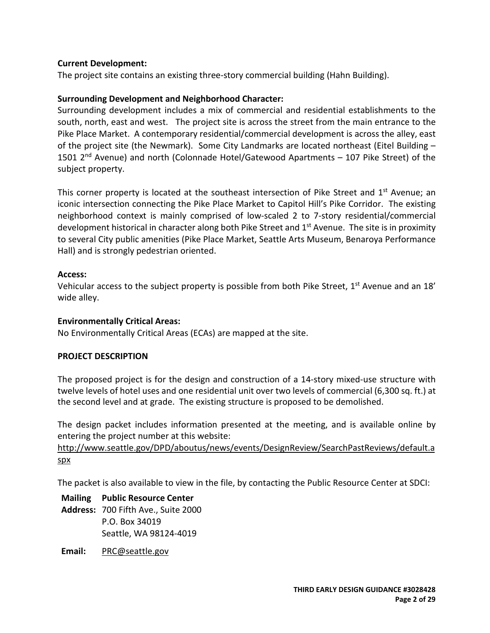#### **Current Development:**

The project site contains an existing three-story commercial building (Hahn Building).

### **Surrounding Development and Neighborhood Character:**

Surrounding development includes a mix of commercial and residential establishments to the south, north, east and west. The project site is across the street from the main entrance to the Pike Place Market. A contemporary residential/commercial development is across the alley, east of the project site (the Newmark). Some City Landmarks are located northeast (Eitel Building – 1501 2<sup>nd</sup> Avenue) and north (Colonnade Hotel/Gatewood Apartments – 107 Pike Street) of the subject property.

This corner property is located at the southeast intersection of Pike Street and  $1<sup>st</sup>$  Avenue; an iconic intersection connecting the Pike Place Market to Capitol Hill's Pike Corridor. The existing neighborhood context is mainly comprised of low-scaled 2 to 7-story residential/commercial development historical in character along both Pike Street and 1<sup>st</sup> Avenue. The site is in proximity to several City public amenities (Pike Place Market, Seattle Arts Museum, Benaroya Performance Hall) and is strongly pedestrian oriented.

#### **Access:**

Vehicular access to the subject property is possible from both Pike Street, 1<sup>st</sup> Avenue and an 18' wide alley.

#### **Environmentally Critical Areas:**

No Environmentally Critical Areas (ECAs) are mapped at the site.

#### **PROJECT DESCRIPTION**

The proposed project is for the design and construction of a 14-story mixed-use structure with twelve levels of hotel uses and one residential unit over two levels of commercial (6,300 sq. ft.) at the second level and at grade. The existing structure is proposed to be demolished.

The design packet includes information presented at the meeting, and is available online by entering the project number at this website:

[http://www.seattle.gov/DPD/aboutus/news/events/DesignReview/SearchPastReviews/default.a](http://www.seattle.gov/DPD/aboutus/news/events/DesignReview/SearchPastReviews/default.aspx) [spx](http://www.seattle.gov/DPD/aboutus/news/events/DesignReview/SearchPastReviews/default.aspx)

The packet is also available to view in the file, by contacting the Public Resource Center at SDCI:

**Mailing Public Resource Center**

- **Address:** 700 Fifth Ave., Suite 2000 P.O. Box 34019 Seattle, WA 98124-4019
- **Email:** [PRC@seattle.gov](mailto:PRC@seattle.gov)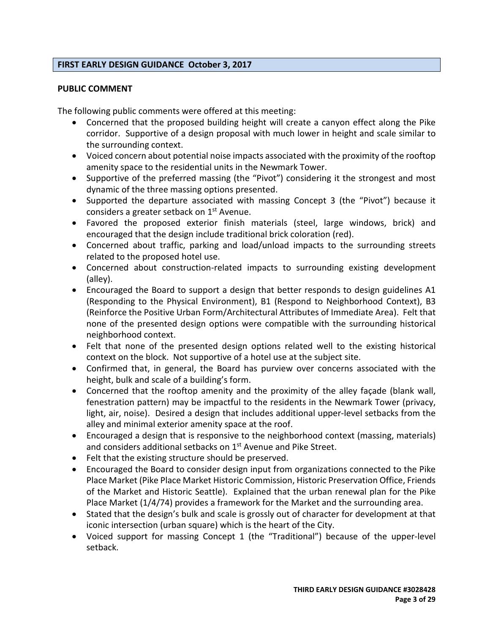### **FIRST EARLY DESIGN GUIDANCE October 3, 2017**

#### **PUBLIC COMMENT**

The following public comments were offered at this meeting:

- Concerned that the proposed building height will create a canyon effect along the Pike corridor. Supportive of a design proposal with much lower in height and scale similar to the surrounding context.
- Voiced concern about potential noise impacts associated with the proximity of the rooftop amenity space to the residential units in the Newmark Tower.
- Supportive of the preferred massing (the "Pivot") considering it the strongest and most dynamic of the three massing options presented.
- Supported the departure associated with massing Concept 3 (the "Pivot") because it considers a greater setback on 1<sup>st</sup> Avenue.
- Favored the proposed exterior finish materials (steel, large windows, brick) and encouraged that the design include traditional brick coloration (red).
- Concerned about traffic, parking and load/unload impacts to the surrounding streets related to the proposed hotel use.
- Concerned about construction-related impacts to surrounding existing development (alley).
- Encouraged the Board to support a design that better responds to design guidelines A1 (Responding to the Physical Environment), B1 (Respond to Neighborhood Context), B3 (Reinforce the Positive Urban Form/Architectural Attributes of Immediate Area). Felt that none of the presented design options were compatible with the surrounding historical neighborhood context.
- Felt that none of the presented design options related well to the existing historical context on the block. Not supportive of a hotel use at the subject site.
- Confirmed that, in general, the Board has purview over concerns associated with the height, bulk and scale of a building's form.
- Concerned that the rooftop amenity and the proximity of the alley façade (blank wall, fenestration pattern) may be impactful to the residents in the Newmark Tower (privacy, light, air, noise). Desired a design that includes additional upper-level setbacks from the alley and minimal exterior amenity space at the roof.
- Encouraged a design that is responsive to the neighborhood context (massing, materials) and considers additional setbacks on 1<sup>st</sup> Avenue and Pike Street.
- Felt that the existing structure should be preserved.
- Encouraged the Board to consider design input from organizations connected to the Pike Place Market (Pike Place Market Historic Commission, Historic Preservation Office, Friends of the Market and Historic Seattle). Explained that the urban renewal plan for the Pike Place Market (1/4/74) provides a framework for the Market and the surrounding area.
- Stated that the design's bulk and scale is grossly out of character for development at that iconic intersection (urban square) which is the heart of the City.
- Voiced support for massing Concept 1 (the "Traditional") because of the upper-level setback.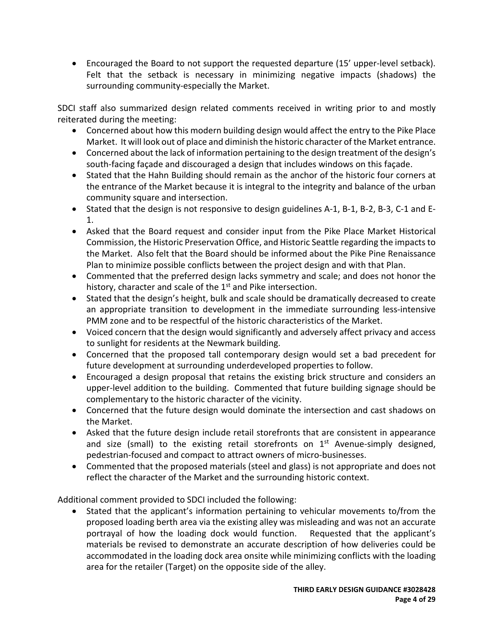• Encouraged the Board to not support the requested departure (15' upper-level setback). Felt that the setback is necessary in minimizing negative impacts (shadows) the surrounding community-especially the Market.

SDCI staff also summarized design related comments received in writing prior to and mostly reiterated during the meeting:

- Concerned about how this modern building design would affect the entry to the Pike Place Market. It will look out of place and diminish the historic character of the Market entrance.
- Concerned about the lack of information pertaining to the design treatment of the design's south-facing façade and discouraged a design that includes windows on this façade.
- Stated that the Hahn Building should remain as the anchor of the historic four corners at the entrance of the Market because it is integral to the integrity and balance of the urban community square and intersection.
- Stated that the design is not responsive to design guidelines A-1, B-1, B-2, B-3, C-1 and E-1.
- Asked that the Board request and consider input from the Pike Place Market Historical Commission, the Historic Preservation Office, and Historic Seattle regarding the impacts to the Market. Also felt that the Board should be informed about the Pike Pine Renaissance Plan to minimize possible conflicts between the project design and with that Plan.
- Commented that the preferred design lacks symmetry and scale; and does not honor the history, character and scale of the  $1<sup>st</sup>$  and Pike intersection.
- Stated that the design's height, bulk and scale should be dramatically decreased to create an appropriate transition to development in the immediate surrounding less-intensive PMM zone and to be respectful of the historic characteristics of the Market.
- Voiced concern that the design would significantly and adversely affect privacy and access to sunlight for residents at the Newmark building.
- Concerned that the proposed tall contemporary design would set a bad precedent for future development at surrounding underdeveloped properties to follow.
- Encouraged a design proposal that retains the existing brick structure and considers an upper-level addition to the building. Commented that future building signage should be complementary to the historic character of the vicinity.
- Concerned that the future design would dominate the intersection and cast shadows on the Market.
- Asked that the future design include retail storefronts that are consistent in appearance and size (small) to the existing retail storefronts on  $1<sup>st</sup>$  Avenue-simply designed, pedestrian-focused and compact to attract owners of micro-businesses.
- Commented that the proposed materials (steel and glass) is not appropriate and does not reflect the character of the Market and the surrounding historic context.

Additional comment provided to SDCI included the following:

• Stated that the applicant's information pertaining to vehicular movements to/from the proposed loading berth area via the existing alley was misleading and was not an accurate portrayal of how the loading dock would function. Requested that the applicant's materials be revised to demonstrate an accurate description of how deliveries could be accommodated in the loading dock area onsite while minimizing conflicts with the loading area for the retailer (Target) on the opposite side of the alley.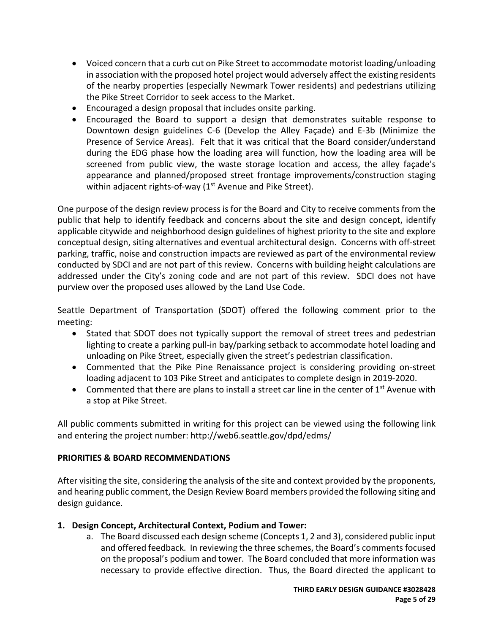- Voiced concern that a curb cut on Pike Street to accommodate motorist loading/unloading in association with the proposed hotel project would adversely affect the existing residents of the nearby properties (especially Newmark Tower residents) and pedestrians utilizing the Pike Street Corridor to seek access to the Market.
- Encouraged a design proposal that includes onsite parking.
- Encouraged the Board to support a design that demonstrates suitable response to Downtown design guidelines C-6 (Develop the Alley Façade) and E-3b (Minimize the Presence of Service Areas). Felt that it was critical that the Board consider/understand during the EDG phase how the loading area will function, how the loading area will be screened from public view, the waste storage location and access, the alley façade's appearance and planned/proposed street frontage improvements/construction staging within adjacent rights-of-way  $(1<sup>st</sup>$  Avenue and Pike Street).

One purpose of the design review process is for the Board and City to receive comments from the public that help to identify feedback and concerns about the site and design concept, identify applicable citywide and neighborhood design guidelines of highest priority to the site and explore conceptual design, siting alternatives and eventual architectural design. Concerns with off-street parking, traffic, noise and construction impacts are reviewed as part of the environmental review conducted by SDCI and are not part of this review. Concerns with building height calculations are addressed under the City's zoning code and are not part of this review. SDCI does not have purview over the proposed uses allowed by the Land Use Code.

Seattle Department of Transportation (SDOT) offered the following comment prior to the meeting:

- Stated that SDOT does not typically support the removal of street trees and pedestrian lighting to create a parking pull-in bay/parking setback to accommodate hotel loading and unloading on Pike Street, especially given the street's pedestrian classification.
- Commented that the Pike Pine Renaissance project is considering providing on-street loading adjacent to 103 Pike Street and anticipates to complete design in 2019-2020.
- Commented that there are plans to install a street car line in the center of  $1<sup>st</sup>$  Avenue with a stop at Pike Street.

All public comments submitted in writing for this project can be viewed using the following link and entering the project number:<http://web6.seattle.gov/dpd/edms/>

## **PRIORITIES & BOARD RECOMMENDATIONS**

After visiting the site, considering the analysis of the site and context provided by the proponents, and hearing public comment, the Design Review Board members provided the following siting and design guidance.

## **1. Design Concept, Architectural Context, Podium and Tower:**

a. The Board discussed each design scheme (Concepts 1, 2 and 3), considered public input and offered feedback. In reviewing the three schemes, the Board's comments focused on the proposal's podium and tower. The Board concluded that more information was necessary to provide effective direction. Thus, the Board directed the applicant to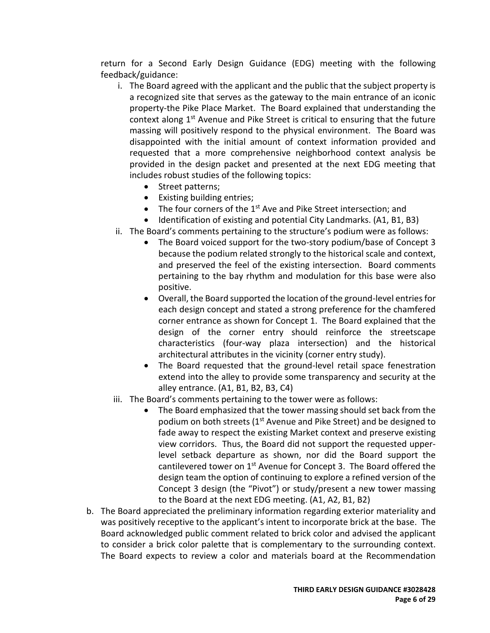return for a Second Early Design Guidance (EDG) meeting with the following feedback/guidance:

- i. The Board agreed with the applicant and the public that the subject property is a recognized site that serves as the gateway to the main entrance of an iconic property-the Pike Place Market. The Board explained that understanding the context along  $1<sup>st</sup>$  Avenue and Pike Street is critical to ensuring that the future massing will positively respond to the physical environment. The Board was disappointed with the initial amount of context information provided and requested that a more comprehensive neighborhood context analysis be provided in the design packet and presented at the next EDG meeting that includes robust studies of the following topics:
	- Street patterns;
	- Existing building entries;
	- The four corners of the  $1<sup>st</sup>$  Ave and Pike Street intersection; and
	- Identification of existing and potential City Landmarks. (A1, B1, B3)
- ii. The Board's comments pertaining to the structure's podium were as follows:
	- The Board voiced support for the two-story podium/base of Concept 3 because the podium related strongly to the historical scale and context, and preserved the feel of the existing intersection. Board comments pertaining to the bay rhythm and modulation for this base were also positive.
	- Overall, the Board supported the location of the ground-level entriesfor each design concept and stated a strong preference for the chamfered corner entrance as shown for Concept 1. The Board explained that the design of the corner entry should reinforce the streetscape characteristics (four-way plaza intersection) and the historical architectural attributes in the vicinity (corner entry study).
	- The Board requested that the ground-level retail space fenestration extend into the alley to provide some transparency and security at the alley entrance. (A1, B1, B2, B3, C4)
- iii. The Board's comments pertaining to the tower were as follows:
	- The Board emphasized that the tower massing should set back from the podium on both streets (1<sup>st</sup> Avenue and Pike Street) and be designed to fade away to respect the existing Market context and preserve existing view corridors. Thus, the Board did not support the requested upperlevel setback departure as shown, nor did the Board support the cantilevered tower on  $1<sup>st</sup>$  Avenue for Concept 3. The Board offered the design team the option of continuing to explore a refined version of the Concept 3 design (the "Pivot") or study/present a new tower massing to the Board at the next EDG meeting. (A1, A2, B1, B2)
- b. The Board appreciated the preliminary information regarding exterior materiality and was positively receptive to the applicant's intent to incorporate brick at the base. The Board acknowledged public comment related to brick color and advised the applicant to consider a brick color palette that is complementary to the surrounding context. The Board expects to review a color and materials board at the Recommendation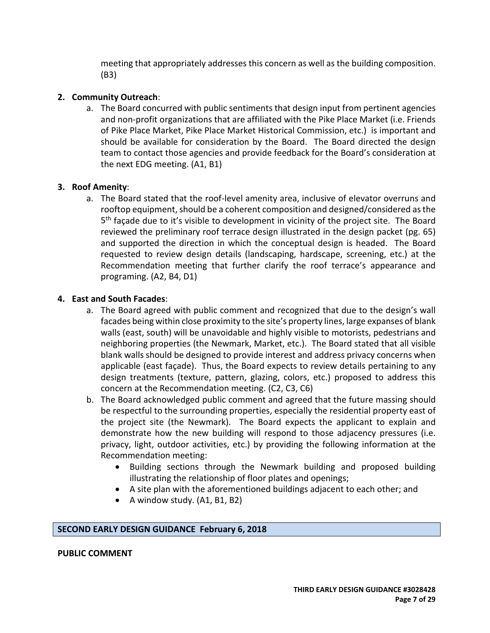meeting that appropriately addresses this concern as well as the building composition. (B3)

## **2. Community Outreach**:

a. The Board concurred with public sentiments that design input from pertinent agencies and non-profit organizations that are affiliated with the Pike Place Market (i.e. Friends of Pike Place Market, Pike Place Market Historical Commission, etc.) is important and should be available for consideration by the Board. The Board directed the design team to contact those agencies and provide feedback for the Board's consideration at the next EDG meeting. (A1, B1)

#### **3. Roof Amenity**:

a. The Board stated that the roof-level amenity area, inclusive of elevator overruns and rooftop equipment, should be a coherent composition and designed/considered as the 5th façade due to it's visible to development in vicinity of the project site. The Board reviewed the preliminary roof terrace design illustrated in the design packet (pg. 65) and supported the direction in which the conceptual design is headed. The Board requested to review design details (landscaping, hardscape, screening, etc.) at the Recommendation meeting that further clarify the roof terrace's appearance and programing. (A2, B4, D1)

#### **4. East and South Facades**:

- a. The Board agreed with public comment and recognized that due to the design's wall facades being within close proximity to the site's property lines, large expanses of blank walls (east, south) will be unavoidable and highly visible to motorists, pedestrians and neighboring properties (the Newmark, Market, etc.). The Board stated that all visible blank walls should be designed to provide interest and address privacy concerns when applicable (east façade). Thus, the Board expects to review details pertaining to any design treatments (texture, pattern, glazing, colors, etc.) proposed to address this concern at the Recommendation meeting. (C2, C3, C6)
- b. The Board acknowledged public comment and agreed that the future massing should be respectful to the surrounding properties, especially the residential property east of the project site (the Newmark). The Board expects the applicant to explain and demonstrate how the new building will respond to those adjacency pressures (i.e. privacy, light, outdoor activities, etc.) by providing the following information at the Recommendation meeting:
	- Building sections through the Newmark building and proposed building illustrating the relationship of floor plates and openings;
	- A site plan with the aforementioned buildings adjacent to each other; and
	- A window study. (A1, B1, B2)

#### **SECOND EARLY DESIGN GUIDANCE February 6, 2018**

#### **PUBLIC COMMENT**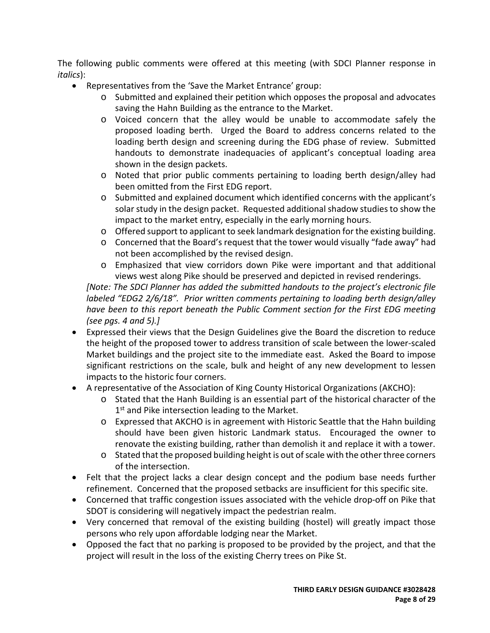The following public comments were offered at this meeting (with SDCI Planner response in *italics*):

- Representatives from the 'Save the Market Entrance' group:
	- o Submitted and explained their petition which opposes the proposal and advocates saving the Hahn Building as the entrance to the Market.
	- o Voiced concern that the alley would be unable to accommodate safely the proposed loading berth. Urged the Board to address concerns related to the loading berth design and screening during the EDG phase of review. Submitted handouts to demonstrate inadequacies of applicant's conceptual loading area shown in the design packets.
	- o Noted that prior public comments pertaining to loading berth design/alley had been omitted from the First EDG report.
	- o Submitted and explained document which identified concerns with the applicant's solar study in the design packet. Requested additional shadow studies to show the impact to the market entry, especially in the early morning hours.
	- o Offered support to applicant to seek landmark designation for the existing building.
	- o Concerned that the Board's request that the tower would visually "fade away" had not been accomplished by the revised design.
	- o Emphasized that view corridors down Pike were important and that additional views west along Pike should be preserved and depicted in revised renderings.

*[Note: The SDCI Planner has added the submitted handouts to the project's electronic file labeled "EDG2 2/6/18". Prior written comments pertaining to loading berth design/alley have been to this report beneath the Public Comment section for the First EDG meeting (see pgs. 4 and 5).]*

- Expressed their views that the Design Guidelines give the Board the discretion to reduce the height of the proposed tower to address transition of scale between the lower-scaled Market buildings and the project site to the immediate east. Asked the Board to impose significant restrictions on the scale, bulk and height of any new development to lessen impacts to the historic four corners.
- A representative of the Association of King County Historical Organizations (AKCHO):
	- o Stated that the Hanh Building is an essential part of the historical character of the 1<sup>st</sup> and Pike intersection leading to the Market.
	- o Expressed that AKCHO is in agreement with Historic Seattle that the Hahn building should have been given historic Landmark status. Encouraged the owner to renovate the existing building, rather than demolish it and replace it with a tower.
	- o Stated that the proposed building height is out of scale with the other three corners of the intersection.
- Felt that the project lacks a clear design concept and the podium base needs further refinement. Concerned that the proposed setbacks are insufficient for this specific site.
- Concerned that traffic congestion issues associated with the vehicle drop-off on Pike that SDOT is considering will negatively impact the pedestrian realm.
- Very concerned that removal of the existing building (hostel) will greatly impact those persons who rely upon affordable lodging near the Market.
- Opposed the fact that no parking is proposed to be provided by the project, and that the project will result in the loss of the existing Cherry trees on Pike St.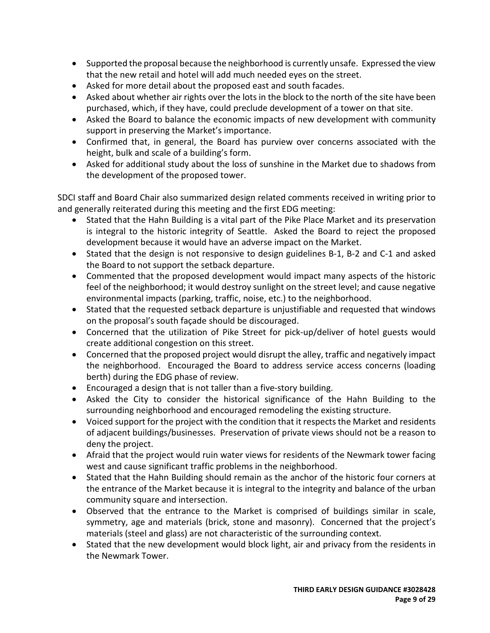- Supported the proposal because the neighborhood is currently unsafe. Expressed the view that the new retail and hotel will add much needed eyes on the street.
- Asked for more detail about the proposed east and south facades.
- Asked about whether air rights over the lots in the block to the north of the site have been purchased, which, if they have, could preclude development of a tower on that site.
- Asked the Board to balance the economic impacts of new development with community support in preserving the Market's importance.
- Confirmed that, in general, the Board has purview over concerns associated with the height, bulk and scale of a building's form.
- Asked for additional study about the loss of sunshine in the Market due to shadows from the development of the proposed tower.

SDCI staff and Board Chair also summarized design related comments received in writing prior to and generally reiterated during this meeting and the first EDG meeting:

- Stated that the Hahn Building is a vital part of the Pike Place Market and its preservation is integral to the historic integrity of Seattle. Asked the Board to reject the proposed development because it would have an adverse impact on the Market.
- Stated that the design is not responsive to design guidelines B-1, B-2 and C-1 and asked the Board to not support the setback departure.
- Commented that the proposed development would impact many aspects of the historic feel of the neighborhood; it would destroy sunlight on the street level; and cause negative environmental impacts (parking, traffic, noise, etc.) to the neighborhood.
- Stated that the requested setback departure is unjustifiable and requested that windows on the proposal's south façade should be discouraged.
- Concerned that the utilization of Pike Street for pick-up/deliver of hotel guests would create additional congestion on this street.
- Concerned that the proposed project would disrupt the alley, traffic and negatively impact the neighborhood. Encouraged the Board to address service access concerns (loading berth) during the EDG phase of review.
- Encouraged a design that is not taller than a five-story building.
- Asked the City to consider the historical significance of the Hahn Building to the surrounding neighborhood and encouraged remodeling the existing structure.
- Voiced support for the project with the condition that it respects the Market and residents of adjacent buildings/businesses. Preservation of private views should not be a reason to deny the project.
- Afraid that the project would ruin water views for residents of the Newmark tower facing west and cause significant traffic problems in the neighborhood.
- Stated that the Hahn Building should remain as the anchor of the historic four corners at the entrance of the Market because it is integral to the integrity and balance of the urban community square and intersection.
- Observed that the entrance to the Market is comprised of buildings similar in scale, symmetry, age and materials (brick, stone and masonry). Concerned that the project's materials (steel and glass) are not characteristic of the surrounding context.
- Stated that the new development would block light, air and privacy from the residents in the Newmark Tower.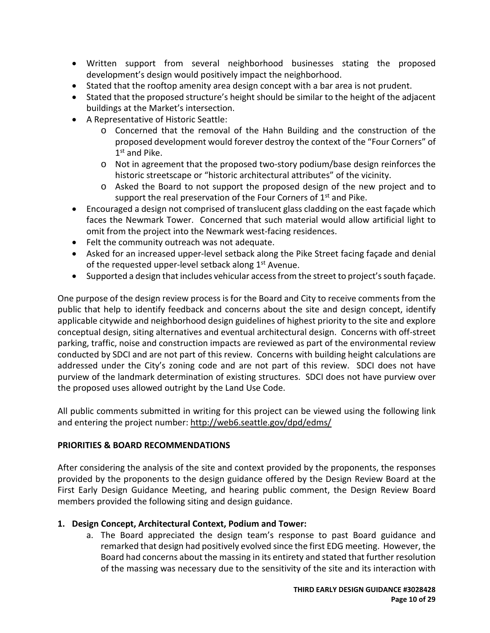- Written support from several neighborhood businesses stating the proposed development's design would positively impact the neighborhood.
- Stated that the rooftop amenity area design concept with a bar area is not prudent.
- Stated that the proposed structure's height should be similar to the height of the adjacent buildings at the Market's intersection.
- A Representative of Historic Seattle:
	- o Concerned that the removal of the Hahn Building and the construction of the proposed development would forever destroy the context of the "Four Corners" of 1st and Pike.
	- o Not in agreement that the proposed two-story podium/base design reinforces the historic streetscape or "historic architectural attributes" of the vicinity.
	- o Asked the Board to not support the proposed design of the new project and to support the real preservation of the Four Corners of  $1<sup>st</sup>$  and Pike.
- Encouraged a design not comprised of translucent glass cladding on the east façade which faces the Newmark Tower. Concerned that such material would allow artificial light to omit from the project into the Newmark west-facing residences.
- Felt the community outreach was not adequate.
- Asked for an increased upper-level setback along the Pike Street facing façade and denial of the requested upper-level setback along 1<sup>st</sup> Avenue.
- Supported a design that includes vehicular access from the street to project's south façade.

One purpose of the design review process is for the Board and City to receive comments from the public that help to identify feedback and concerns about the site and design concept, identify applicable citywide and neighborhood design guidelines of highest priority to the site and explore conceptual design, siting alternatives and eventual architectural design. Concerns with off-street parking, traffic, noise and construction impacts are reviewed as part of the environmental review conducted by SDCI and are not part of this review. Concerns with building height calculations are addressed under the City's zoning code and are not part of this review. SDCI does not have purview of the landmark determination of existing structures. SDCI does not have purview over the proposed uses allowed outright by the Land Use Code.

All public comments submitted in writing for this project can be viewed using the following link and entering the project number:<http://web6.seattle.gov/dpd/edms/>

## **PRIORITIES & BOARD RECOMMENDATIONS**

After considering the analysis of the site and context provided by the proponents, the responses provided by the proponents to the design guidance offered by the Design Review Board at the First Early Design Guidance Meeting, and hearing public comment, the Design Review Board members provided the following siting and design guidance.

## **1. Design Concept, Architectural Context, Podium and Tower:**

a. The Board appreciated the design team's response to past Board guidance and remarked that design had positively evolved since the first EDG meeting. However, the Board had concerns about the massing in its entirety and stated that further resolution of the massing was necessary due to the sensitivity of the site and its interaction with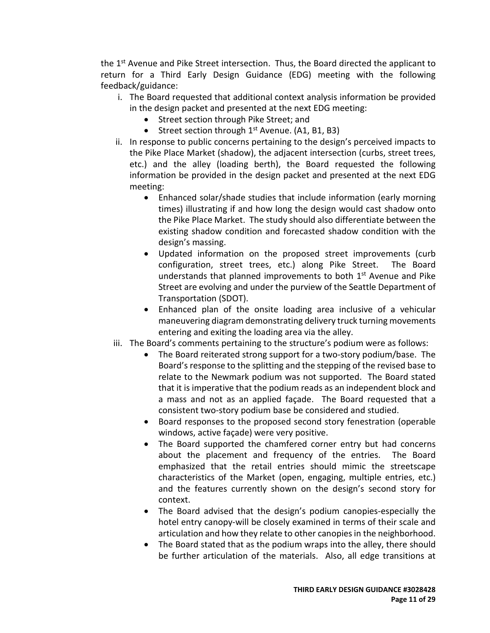the 1<sup>st</sup> Avenue and Pike Street intersection. Thus, the Board directed the applicant to return for a Third Early Design Guidance (EDG) meeting with the following feedback/guidance:

- i. The Board requested that additional context analysis information be provided in the design packet and presented at the next EDG meeting:
	- Street section through Pike Street; and
	- Street section through  $1<sup>st</sup>$  Avenue. (A1, B1, B3)
- ii. In response to public concerns pertaining to the design's perceived impacts to the Pike Place Market (shadow), the adjacent intersection (curbs, street trees, etc.) and the alley (loading berth), the Board requested the following information be provided in the design packet and presented at the next EDG meeting:
	- Enhanced solar/shade studies that include information (early morning times) illustrating if and how long the design would cast shadow onto the Pike Place Market. The study should also differentiate between the existing shadow condition and forecasted shadow condition with the design's massing.
	- Updated information on the proposed street improvements (curb configuration, street trees, etc.) along Pike Street. The Board understands that planned improvements to both 1<sup>st</sup> Avenue and Pike Street are evolving and under the purview of the Seattle Department of Transportation (SDOT).
	- Enhanced plan of the onsite loading area inclusive of a vehicular maneuvering diagram demonstrating delivery truck turning movements entering and exiting the loading area via the alley.
- iii. The Board's comments pertaining to the structure's podium were as follows:
	- The Board reiterated strong support for a two-story podium/base. The Board's response to the splitting and the stepping of the revised base to relate to the Newmark podium was not supported. The Board stated that it is imperative that the podium reads as an independent block and a mass and not as an applied façade. The Board requested that a consistent two-story podium base be considered and studied.
	- Board responses to the proposed second story fenestration (operable windows, active façade) were very positive.
	- The Board supported the chamfered corner entry but had concerns about the placement and frequency of the entries. The Board emphasized that the retail entries should mimic the streetscape characteristics of the Market (open, engaging, multiple entries, etc.) and the features currently shown on the design's second story for context.
	- The Board advised that the design's podium canopies-especially the hotel entry canopy-will be closely examined in terms of their scale and articulation and how they relate to other canopies in the neighborhood.
	- The Board stated that as the podium wraps into the alley, there should be further articulation of the materials. Also, all edge transitions at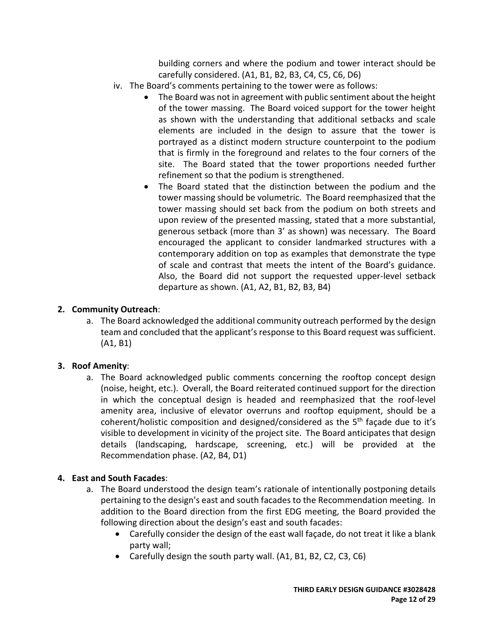building corners and where the podium and tower interact should be carefully considered. (A1, B1, B2, B3, C4, C5, C6, D6)

- iv. The Board's comments pertaining to the tower were as follows:
	- The Board was not in agreement with public sentiment about the height of the tower massing. The Board voiced support for the tower height as shown with the understanding that additional setbacks and scale elements are included in the design to assure that the tower is portrayed as a distinct modern structure counterpoint to the podium that is firmly in the foreground and relates to the four corners of the site. The Board stated that the tower proportions needed further refinement so that the podium is strengthened.
	- The Board stated that the distinction between the podium and the tower massing should be volumetric. The Board reemphasized that the tower massing should set back from the podium on both streets and upon review of the presented massing, stated that a more substantial, generous setback (more than 3' as shown) was necessary. The Board encouraged the applicant to consider landmarked structures with a contemporary addition on top as examples that demonstrate the type of scale and contrast that meets the intent of the Board's guidance. Also, the Board did not support the requested upper-level setback departure as shown. (A1, A2, B1, B2, B3, B4)

### **2. Community Outreach**:

a. The Board acknowledged the additional community outreach performed by the design team and concluded that the applicant's response to this Board request was sufficient. (A1, B1)

## **3. Roof Amenity**:

a. The Board acknowledged public comments concerning the rooftop concept design (noise, height, etc.). Overall, the Board reiterated continued support for the direction in which the conceptual design is headed and reemphasized that the roof-level amenity area, inclusive of elevator overruns and rooftop equipment, should be a coherent/holistic composition and designed/considered as the 5<sup>th</sup> façade due to it's visible to development in vicinity of the project site. The Board anticipates that design details (landscaping, hardscape, screening, etc.) will be provided at the Recommendation phase. (A2, B4, D1)

#### **4. East and South Facades**:

- a. The Board understood the design team's rationale of intentionally postponing details pertaining to the design's east and south facades to the Recommendation meeting. In addition to the Board direction from the first EDG meeting, the Board provided the following direction about the design's east and south facades:
	- Carefully consider the design of the east wall façade, do not treat it like a blank party wall;
	- Carefully design the south party wall. (A1, B1, B2, C2, C3, C6)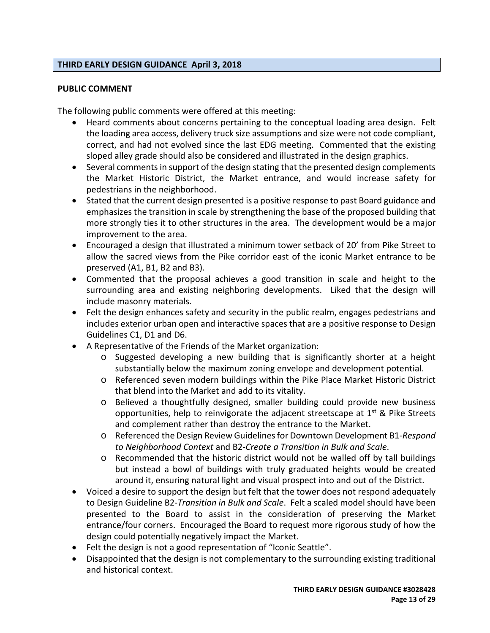#### **THIRD EARLY DESIGN GUIDANCE April 3, 2018**

#### **PUBLIC COMMENT**

The following public comments were offered at this meeting:

- Heard comments about concerns pertaining to the conceptual loading area design. Felt the loading area access, delivery truck size assumptions and size were not code compliant, correct, and had not evolved since the last EDG meeting. Commented that the existing sloped alley grade should also be considered and illustrated in the design graphics.
- Several comments in support of the design stating that the presented design complements the Market Historic District, the Market entrance, and would increase safety for pedestrians in the neighborhood.
- Stated that the current design presented is a positive response to past Board guidance and emphasizes the transition in scale by strengthening the base of the proposed building that more strongly ties it to other structures in the area. The development would be a major improvement to the area.
- Encouraged a design that illustrated a minimum tower setback of 20' from Pike Street to allow the sacred views from the Pike corridor east of the iconic Market entrance to be preserved (A1, B1, B2 and B3).
- Commented that the proposal achieves a good transition in scale and height to the surrounding area and existing neighboring developments. Liked that the design will include masonry materials.
- Felt the design enhances safety and security in the public realm, engages pedestrians and includes exterior urban open and interactive spaces that are a positive response to Design Guidelines C1, D1 and D6.
- A Representative of the Friends of the Market organization:
	- o Suggested developing a new building that is significantly shorter at a height substantially below the maximum zoning envelope and development potential.
	- o Referenced seven modern buildings within the Pike Place Market Historic District that blend into the Market and add to its vitality.
	- o Believed a thoughtfully designed, smaller building could provide new business opportunities, help to reinvigorate the adjacent streetscape at  $1<sup>st</sup>$  & Pike Streets and complement rather than destroy the entrance to the Market.
	- o Referenced the Design Review Guidelines for Downtown Development B1-*Respond to Neighborhood Context* and B2-*Create a Transition in Bulk and Scale*.
	- $\circ$  Recommended that the historic district would not be walled off by tall buildings but instead a bowl of buildings with truly graduated heights would be created around it, ensuring natural light and visual prospect into and out of the District.
- Voiced a desire to support the design but felt that the tower does not respond adequately to Design Guideline B2-*Transition in Bulk and Scale*. Felt a scaled model should have been presented to the Board to assist in the consideration of preserving the Market entrance/four corners. Encouraged the Board to request more rigorous study of how the design could potentially negatively impact the Market.
- Felt the design is not a good representation of "Iconic Seattle".
- Disappointed that the design is not complementary to the surrounding existing traditional and historical context.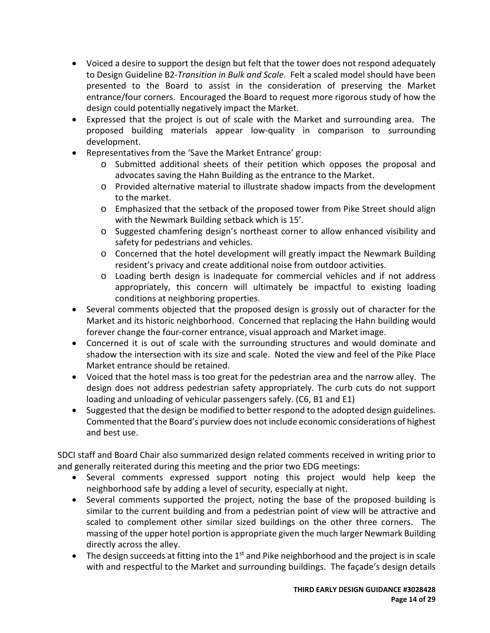- Voiced a desire to support the design but felt that the tower does not respond adequately to Design Guideline B2-*Transition in Bulk and Scale*. Felt a scaled model should have been presented to the Board to assist in the consideration of preserving the Market entrance/four corners. Encouraged the Board to request more rigorous study of how the design could potentially negatively impact the Market.
- Expressed that the project is out of scale with the Market and surrounding area. The proposed building materials appear low-quality in comparison to surrounding development.
- Representatives from the 'Save the Market Entrance' group:
	- o Submitted additional sheets of their petition which opposes the proposal and advocates saving the Hahn Building as the entrance to the Market.
	- o Provided alternative material to illustrate shadow impacts from the development to the market.
	- o Emphasized that the setback of the proposed tower from Pike Street should align with the Newmark Building setback which is 15'.
	- o Suggested chamfering design's northeast corner to allow enhanced visibility and safety for pedestrians and vehicles.
	- o Concerned that the hotel development will greatly impact the Newmark Building resident's privacy and create additional noise from outdoor activities.
	- o Loading berth design is inadequate for commercial vehicles and if not address appropriately, this concern will ultimately be impactful to existing loading conditions at neighboring properties.
- Several comments objected that the proposed design is grossly out of character for the Market and its historic neighborhood. Concerned that replacing the Hahn building would forever change the four-corner entrance, visual approach and Market image.
- Concerned it is out of scale with the surrounding structures and would dominate and shadow the intersection with its size and scale. Noted the view and feel of the Pike Place Market entrance should be retained.
- Voiced that the hotel mass is too great for the pedestrian area and the narrow alley. The design does not address pedestrian safety appropriately. The curb cuts do not support loading and unloading of vehicular passengers safely. (C6, B1 and E1)
- Suggested that the design be modified to better respond to the adopted design guidelines. Commented that the Board's purview does not include economic considerations of highest and best use.

SDCI staff and Board Chair also summarized design related comments received in writing prior to and generally reiterated during this meeting and the prior two EDG meetings:

- Several comments expressed support noting this project would help keep the neighborhood safe by adding a level of security, especially at night.
- Several comments supported the project, noting the base of the proposed building is similar to the current building and from a pedestrian point of view will be attractive and scaled to complement other similar sized buildings on the other three corners. The massing of the upper hotel portion is appropriate given the much larger Newmark Building directly across the alley.
- The design succeeds at fitting into the  $1<sup>st</sup>$  and Pike neighborhood and the project is in scale with and respectful to the Market and surrounding buildings. The façade's design details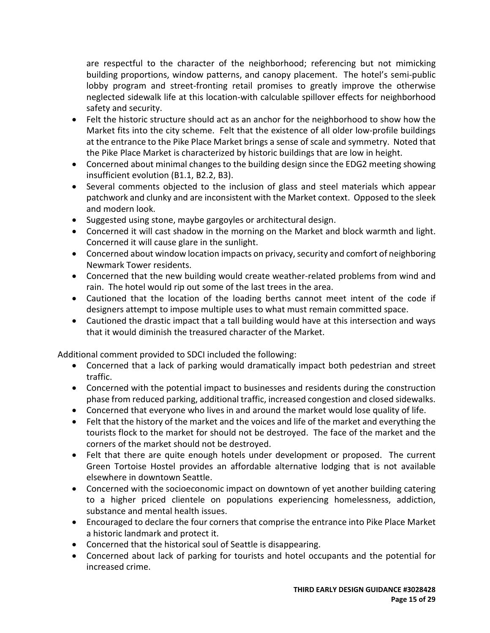are respectful to the character of the neighborhood; referencing but not mimicking building proportions, window patterns, and canopy placement. The hotel's semi-public lobby program and street-fronting retail promises to greatly improve the otherwise neglected sidewalk life at this location-with calculable spillover effects for neighborhood safety and security.

- Felt the historic structure should act as an anchor for the neighborhood to show how the Market fits into the city scheme. Felt that the existence of all older low-profile buildings at the entrance to the Pike Place Market brings a sense of scale and symmetry. Noted that the Pike Place Market is characterized by historic buildings that are low in height.
- Concerned about minimal changes to the building design since the EDG2 meeting showing insufficient evolution (B1.1, B2.2, B3).
- Several comments objected to the inclusion of glass and steel materials which appear patchwork and clunky and are inconsistent with the Market context. Opposed to the sleek and modern look.
- Suggested using stone, maybe gargoyles or architectural design.
- Concerned it will cast shadow in the morning on the Market and block warmth and light. Concerned it will cause glare in the sunlight.
- Concerned about window location impacts on privacy, security and comfort of neighboring Newmark Tower residents.
- Concerned that the new building would create weather-related problems from wind and rain. The hotel would rip out some of the last trees in the area.
- Cautioned that the location of the loading berths cannot meet intent of the code if designers attempt to impose multiple uses to what must remain committed space.
- Cautioned the drastic impact that a tall building would have at this intersection and ways that it would diminish the treasured character of the Market.

Additional comment provided to SDCI included the following:

- Concerned that a lack of parking would dramatically impact both pedestrian and street traffic.
- Concerned with the potential impact to businesses and residents during the construction phase from reduced parking, additional traffic, increased congestion and closed sidewalks.
- Concerned that everyone who lives in and around the market would lose quality of life.
- Felt that the history of the market and the voices and life of the market and everything the tourists flock to the market for should not be destroyed. The face of the market and the corners of the market should not be destroyed.
- Felt that there are quite enough hotels under development or proposed. The current Green Tortoise Hostel provides an affordable alternative lodging that is not available elsewhere in downtown Seattle.
- Concerned with the socioeconomic impact on downtown of yet another building catering to a higher priced clientele on populations experiencing homelessness, addiction, substance and mental health issues.
- Encouraged to declare the four corners that comprise the entrance into Pike Place Market a historic landmark and protect it.
- Concerned that the historical soul of Seattle is disappearing.
- Concerned about lack of parking for tourists and hotel occupants and the potential for increased crime.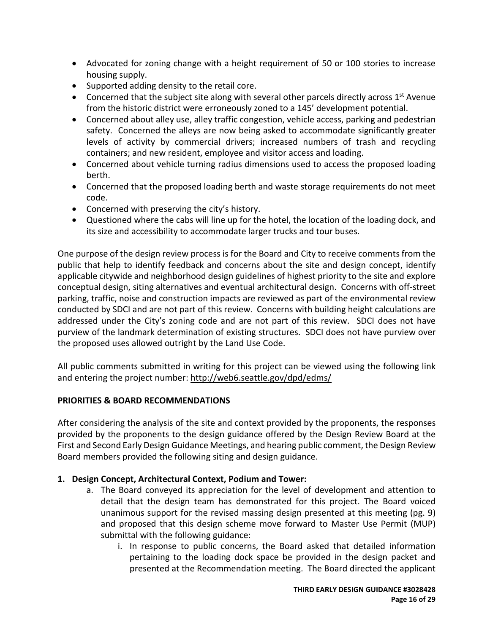- Advocated for zoning change with a height requirement of 50 or 100 stories to increase housing supply.
- Supported adding density to the retail core.
- Concerned that the subject site along with several other parcels directly across  $1<sup>st</sup>$  Avenue from the historic district were erroneously zoned to a 145' development potential.
- Concerned about alley use, alley traffic congestion, vehicle access, parking and pedestrian safety. Concerned the alleys are now being asked to accommodate significantly greater levels of activity by commercial drivers; increased numbers of trash and recycling containers; and new resident, employee and visitor access and loading.
- Concerned about vehicle turning radius dimensions used to access the proposed loading berth.
- Concerned that the proposed loading berth and waste storage requirements do not meet code.
- Concerned with preserving the city's history.
- Questioned where the cabs will line up for the hotel, the location of the loading dock, and its size and accessibility to accommodate larger trucks and tour buses.

One purpose of the design review process is for the Board and City to receive comments from the public that help to identify feedback and concerns about the site and design concept, identify applicable citywide and neighborhood design guidelines of highest priority to the site and explore conceptual design, siting alternatives and eventual architectural design. Concerns with off-street parking, traffic, noise and construction impacts are reviewed as part of the environmental review conducted by SDCI and are not part of this review. Concerns with building height calculations are addressed under the City's zoning code and are not part of this review. SDCI does not have purview of the landmark determination of existing structures. SDCI does not have purview over the proposed uses allowed outright by the Land Use Code.

All public comments submitted in writing for this project can be viewed using the following link and entering the project number:<http://web6.seattle.gov/dpd/edms/>

## **PRIORITIES & BOARD RECOMMENDATIONS**

After considering the analysis of the site and context provided by the proponents, the responses provided by the proponents to the design guidance offered by the Design Review Board at the First and Second Early Design Guidance Meetings, and hearing public comment, the Design Review Board members provided the following siting and design guidance.

# **1. Design Concept, Architectural Context, Podium and Tower:**

- a. The Board conveyed its appreciation for the level of development and attention to detail that the design team has demonstrated for this project. The Board voiced unanimous support for the revised massing design presented at this meeting (pg. 9) and proposed that this design scheme move forward to Master Use Permit (MUP) submittal with the following guidance:
	- i. In response to public concerns, the Board asked that detailed information pertaining to the loading dock space be provided in the design packet and presented at the Recommendation meeting. The Board directed the applicant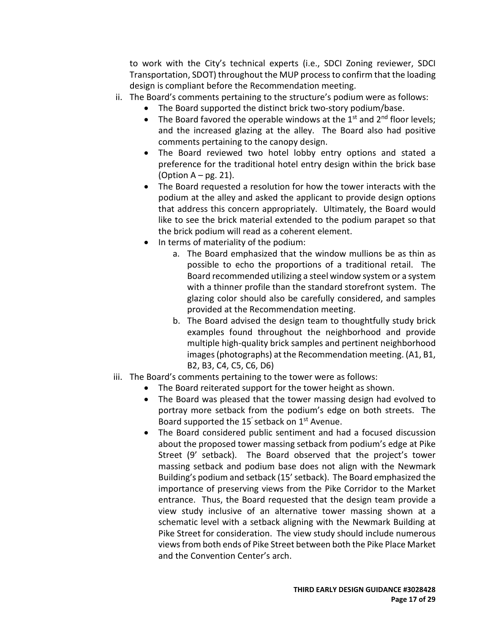to work with the City's technical experts (i.e., SDCI Zoning reviewer, SDCI Transportation, SDOT) throughout the MUP process to confirm that the loading design is compliant before the Recommendation meeting.

- ii. The Board's comments pertaining to the structure's podium were as follows:
	- The Board supported the distinct brick two-story podium/base.
	- The Board favored the operable windows at the  $1<sup>st</sup>$  and  $2<sup>nd</sup>$  floor levels; and the increased glazing at the alley. The Board also had positive comments pertaining to the canopy design.
	- The Board reviewed two hotel lobby entry options and stated a preference for the traditional hotel entry design within the brick base (Option  $A - pg. 21$ ).
	- The Board requested a resolution for how the tower interacts with the podium at the alley and asked the applicant to provide design options that address this concern appropriately. Ultimately, the Board would like to see the brick material extended to the podium parapet so that the brick podium will read as a coherent element.
	- In terms of materiality of the podium:
		- a. The Board emphasized that the window mullions be as thin as possible to echo the proportions of a traditional retail. The Board recommended utilizing a steel window system or a system with a thinner profile than the standard storefront system. The glazing color should also be carefully considered, and samples provided at the Recommendation meeting.
		- b. The Board advised the design team to thoughtfully study brick examples found throughout the neighborhood and provide multiple high-quality brick samples and pertinent neighborhood images (photographs) at the Recommendation meeting. (A1, B1, B2, B3, C4, C5, C6, D6)
- iii. The Board's comments pertaining to the tower were as follows:
	- The Board reiterated support for the tower height as shown.
	- The Board was pleased that the tower massing design had evolved to portray more setback from the podium's edge on both streets. The Board supported the 15<sup>'</sup> setback on  $1<sup>st</sup>$  Avenue.
	- The Board considered public sentiment and had a focused discussion about the proposed tower massing setback from podium's edge at Pike Street (9' setback). The Board observed that the project's tower massing setback and podium base does not align with the Newmark Building's podium and setback (15' setback). The Board emphasized the importance of preserving views from the Pike Corridor to the Market entrance. Thus, the Board requested that the design team provide a view study inclusive of an alternative tower massing shown at a schematic level with a setback aligning with the Newmark Building at Pike Street for consideration. The view study should include numerous views from both ends of Pike Street between both the Pike Place Market and the Convention Center's arch.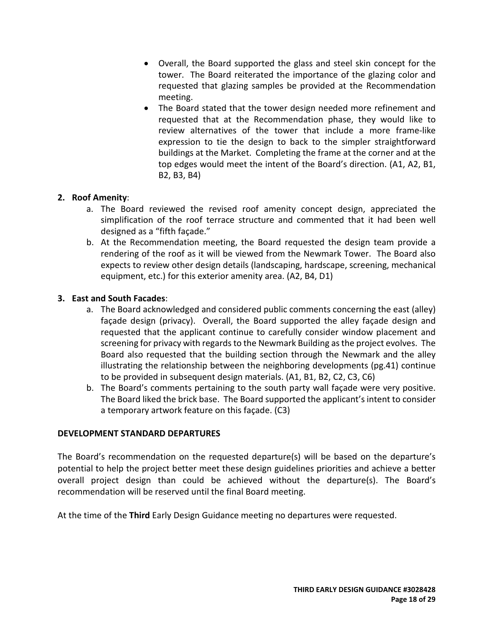- Overall, the Board supported the glass and steel skin concept for the tower. The Board reiterated the importance of the glazing color and requested that glazing samples be provided at the Recommendation meeting.
- The Board stated that the tower design needed more refinement and requested that at the Recommendation phase, they would like to review alternatives of the tower that include a more frame-like expression to tie the design to back to the simpler straightforward buildings at the Market. Completing the frame at the corner and at the top edges would meet the intent of the Board's direction. (A1, A2, B1, B2, B3, B4)

## **2. Roof Amenity**:

- a. The Board reviewed the revised roof amenity concept design, appreciated the simplification of the roof terrace structure and commented that it had been well designed as a "fifth façade."
- b. At the Recommendation meeting, the Board requested the design team provide a rendering of the roof as it will be viewed from the Newmark Tower. The Board also expects to review other design details (landscaping, hardscape, screening, mechanical equipment, etc.) for this exterior amenity area. (A2, B4, D1)

### **3. East and South Facades**:

- a. The Board acknowledged and considered public comments concerning the east (alley) façade design (privacy). Overall, the Board supported the alley façade design and requested that the applicant continue to carefully consider window placement and screening for privacy with regards to the Newmark Building as the project evolves. The Board also requested that the building section through the Newmark and the alley illustrating the relationship between the neighboring developments (pg.41) continue to be provided in subsequent design materials. (A1, B1, B2, C2, C3, C6)
- b. The Board's comments pertaining to the south party wall façade were very positive. The Board liked the brick base. The Board supported the applicant's intent to consider a temporary artwork feature on this façade. (C3)

#### **DEVELOPMENT STANDARD DEPARTURES**

The Board's recommendation on the requested departure(s) will be based on the departure's potential to help the project better meet these design guidelines priorities and achieve a better overall project design than could be achieved without the departure(s). The Board's recommendation will be reserved until the final Board meeting.

At the time of the **Third** Early Design Guidance meeting no departures were requested.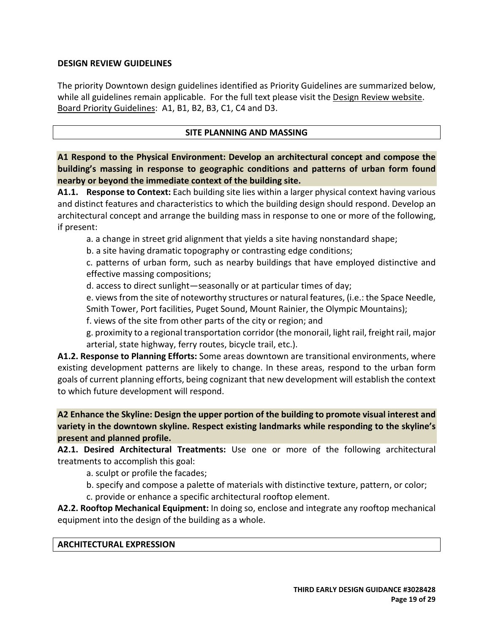### **DESIGN REVIEW GUIDELINES**

The priority Downtown design guidelines identified as Priority Guidelines are summarized below, while all guidelines remain applicable. For the full text please visit the [Design Review website.](https://www.seattle.gov/dpd/aboutus/whoweare/designreview/designguidelines/default.htm) Board Priority Guidelines: A1, B1, B2, B3, C1, C4 and D3.

### **SITE PLANNING AND MASSING**

**A1 Respond to the Physical Environment: Develop an architectural concept and compose the building's massing in response to geographic conditions and patterns of urban form found nearby or beyond the immediate context of the building site.**

**A1.1. Response to Context:** Each building site lies within a larger physical context having various and distinct features and characteristics to which the building design should respond. Develop an architectural concept and arrange the building mass in response to one or more of the following, if present:

a. a change in street grid alignment that yields a site having nonstandard shape;

b. a site having dramatic topography or contrasting edge conditions;

c. patterns of urban form, such as nearby buildings that have employed distinctive and effective massing compositions;

d. access to direct sunlight—seasonally or at particular times of day;

e. views from the site of noteworthy structures or natural features, (i.e.: the Space Needle, Smith Tower, Port facilities, Puget Sound, Mount Rainier, the Olympic Mountains);

f. views of the site from other parts of the city or region; and

g. proximity to a regional transportation corridor (the monorail, light rail, freight rail, major arterial, state highway, ferry routes, bicycle trail, etc.).

**A1.2. Response to Planning Efforts:** Some areas downtown are transitional environments, where existing development patterns are likely to change. In these areas, respond to the urban form goals of current planning efforts, being cognizant that new development will establish the context to which future development will respond.

**A2 Enhance the Skyline: Design the upper portion of the building to promote visual interest and variety in the downtown skyline. Respect existing landmarks while responding to the skyline's present and planned profile.**

**A2.1. Desired Architectural Treatments:** Use one or more of the following architectural treatments to accomplish this goal:

a. sculpt or profile the facades;

b. specify and compose a palette of materials with distinctive texture, pattern, or color;

c. provide or enhance a specific architectural rooftop element.

**A2.2. Rooftop Mechanical Equipment:** In doing so, enclose and integrate any rooftop mechanical equipment into the design of the building as a whole.

#### **ARCHITECTURAL EXPRESSION**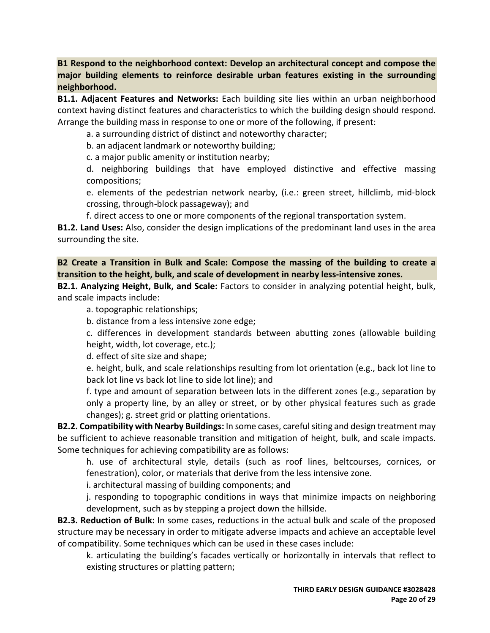**B1 Respond to the neighborhood context: Develop an architectural concept and compose the major building elements to reinforce desirable urban features existing in the surrounding neighborhood.**

**B1.1. Adjacent Features and Networks:** Each building site lies within an urban neighborhood context having distinct features and characteristics to which the building design should respond. Arrange the building mass in response to one or more of the following, if present:

a. a surrounding district of distinct and noteworthy character;

b. an adjacent landmark or noteworthy building;

c. a major public amenity or institution nearby;

d. neighboring buildings that have employed distinctive and effective massing compositions;

e. elements of the pedestrian network nearby, (i.e.: green street, hillclimb, mid-block crossing, through-block passageway); and

f. direct access to one or more components of the regional transportation system.

**B1.2. Land Uses:** Also, consider the design implications of the predominant land uses in the area surrounding the site.

**B2 Create a Transition in Bulk and Scale: Compose the massing of the building to create a transition to the height, bulk, and scale of development in nearby less-intensive zones.**

**B2.1. Analyzing Height, Bulk, and Scale:** Factors to consider in analyzing potential height, bulk, and scale impacts include:

a. topographic relationships;

b. distance from a less intensive zone edge;

c. differences in development standards between abutting zones (allowable building height, width, lot coverage, etc.);

d. effect of site size and shape;

e. height, bulk, and scale relationships resulting from lot orientation (e.g., back lot line to back lot line vs back lot line to side lot line); and

f. type and amount of separation between lots in the different zones (e.g., separation by only a property line, by an alley or street, or by other physical features such as grade changes); g. street grid or platting orientations.

**B2.2. Compatibility with Nearby Buildings:** In some cases, careful siting and design treatment may be sufficient to achieve reasonable transition and mitigation of height, bulk, and scale impacts. Some techniques for achieving compatibility are as follows:

h. use of architectural style, details (such as roof lines, beltcourses, cornices, or fenestration), color, or materials that derive from the less intensive zone.

i. architectural massing of building components; and

j. responding to topographic conditions in ways that minimize impacts on neighboring development, such as by stepping a project down the hillside.

**B2.3. Reduction of Bulk:** In some cases, reductions in the actual bulk and scale of the proposed structure may be necessary in order to mitigate adverse impacts and achieve an acceptable level of compatibility. Some techniques which can be used in these cases include:

k. articulating the building's facades vertically or horizontally in intervals that reflect to existing structures or platting pattern;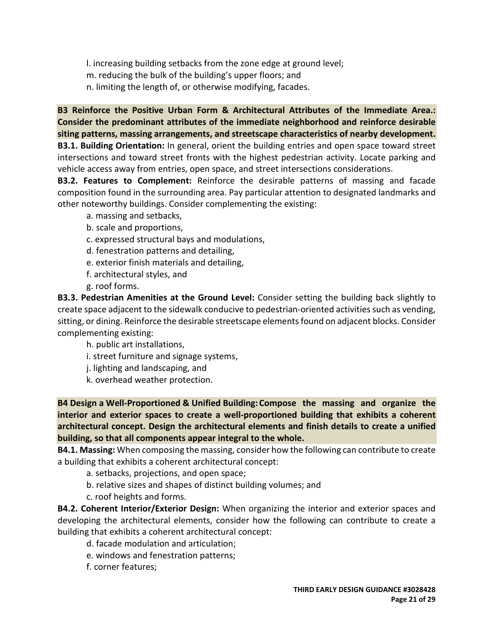l. increasing building setbacks from the zone edge at ground level;

m. reducing the bulk of the building's upper floors; and

n. limiting the length of, or otherwise modifying, facades.

**B3 Reinforce the Positive Urban Form & Architectural Attributes of the Immediate Area.: Consider the predominant attributes of the immediate neighborhood and reinforce desirable siting patterns, massing arrangements, and streetscape characteristics of nearby development. B3.1. Building Orientation:** In general, orient the building entries and open space toward street intersections and toward street fronts with the highest pedestrian activity. Locate parking and vehicle access away from entries, open space, and street intersections considerations.

**B3.2. Features to Complement:** Reinforce the desirable patterns of massing and facade composition found in the surrounding area. Pay particular attention to designated landmarks and other noteworthy buildings. Consider complementing the existing:

- a. massing and setbacks,
- b. scale and proportions,
- c. expressed structural bays and modulations,
- d. fenestration patterns and detailing,
- e. exterior finish materials and detailing,
- f. architectural styles, and
- g. roof forms.

**B3.3. Pedestrian Amenities at the Ground Level:** Consider setting the building back slightly to create space adjacent to the sidewalk conducive to pedestrian-oriented activities such as vending, sitting, or dining. Reinforce the desirable streetscape elements found on adjacent blocks. Consider complementing existing:

h. public art installations,

- i. street furniture and signage systems,
- j. lighting and landscaping, and
- k. overhead weather protection.

**B4 Design a Well-Proportioned & Unified Building: Compose the massing and organize the interior and exterior spaces to create a well-proportioned building that exhibits a coherent architectural concept. Design the architectural elements and finish details to create a unified building, so that all components appear integral to the whole.**

**B4.1. Massing:** When composing the massing, consider how the following can contribute to create a building that exhibits a coherent architectural concept:

- a. setbacks, projections, and open space;
- b. relative sizes and shapes of distinct building volumes; and
- c. roof heights and forms.

**B4.2. Coherent Interior/Exterior Design:** When organizing the interior and exterior spaces and developing the architectural elements, consider how the following can contribute to create a building that exhibits a coherent architectural concept:

- d. facade modulation and articulation;
- e. windows and fenestration patterns;
- f. corner features;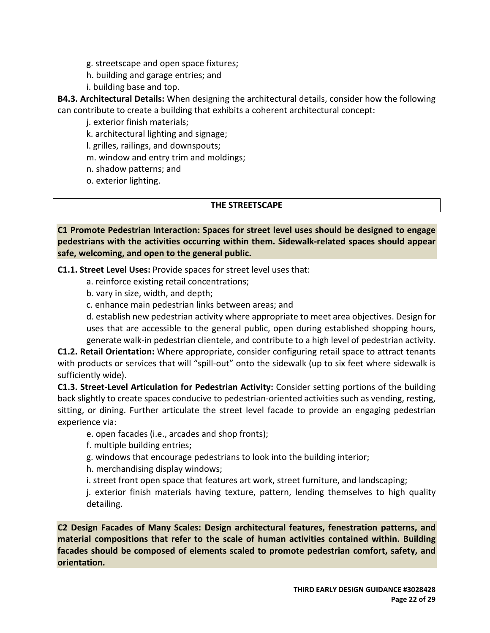- g. streetscape and open space fixtures;
- h. building and garage entries; and
- i. building base and top.

**B4.3. Architectural Details:** When designing the architectural details, consider how the following can contribute to create a building that exhibits a coherent architectural concept:

j. exterior finish materials;

k. architectural lighting and signage;

l. grilles, railings, and downspouts;

m. window and entry trim and moldings;

n. shadow patterns; and

o. exterior lighting.

#### **THE STREETSCAPE**

**C1 Promote Pedestrian Interaction: Spaces for street level uses should be designed to engage pedestrians with the activities occurring within them. Sidewalk-related spaces should appear safe, welcoming, and open to the general public.**

**C1.1. Street Level Uses:** Provide spaces for street level uses that:

- a. reinforce existing retail concentrations;
- b. vary in size, width, and depth;
- c. enhance main pedestrian links between areas; and

d. establish new pedestrian activity where appropriate to meet area objectives. Design for uses that are accessible to the general public, open during established shopping hours, generate walk-in pedestrian clientele, and contribute to a high level of pedestrian activity.

**C1.2. Retail Orientation:** Where appropriate, consider configuring retail space to attract tenants with products or services that will "spill-out" onto the sidewalk (up to six feet where sidewalk is sufficiently wide).

**C1.3. Street-Level Articulation for Pedestrian Activity:** Consider setting portions of the building back slightly to create spaces conducive to pedestrian-oriented activities such as vending, resting, sitting, or dining. Further articulate the street level facade to provide an engaging pedestrian experience via:

e. open facades (i.e., arcades and shop fronts);

f. multiple building entries;

g. windows that encourage pedestrians to look into the building interior;

h. merchandising display windows;

i. street front open space that features art work, street furniture, and landscaping;

j. exterior finish materials having texture, pattern, lending themselves to high quality detailing.

**C2 Design Facades of Many Scales: Design architectural features, fenestration patterns, and material compositions that refer to the scale of human activities contained within. Building facades should be composed of elements scaled to promote pedestrian comfort, safety, and orientation.**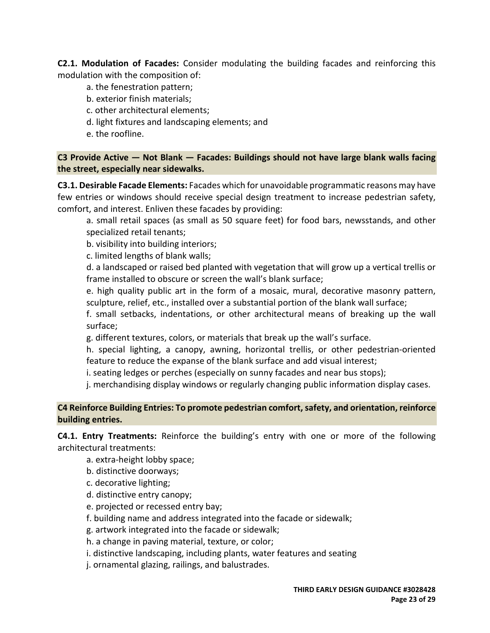**C2.1. Modulation of Facades:** Consider modulating the building facades and reinforcing this modulation with the composition of:

- a. the fenestration pattern;
- b. exterior finish materials;
- c. other architectural elements;
- d. light fixtures and landscaping elements; and
- e. the roofline.

**C3 Provide Active — Not Blank — Facades: Buildings should not have large blank walls facing the street, especially near sidewalks.**

**C3.1. Desirable Facade Elements:** Facades which for unavoidable programmatic reasons may have few entries or windows should receive special design treatment to increase pedestrian safety, comfort, and interest. Enliven these facades by providing:

a. small retail spaces (as small as 50 square feet) for food bars, newsstands, and other specialized retail tenants;

b. visibility into building interiors;

c. limited lengths of blank walls;

d. a landscaped or raised bed planted with vegetation that will grow up a vertical trellis or frame installed to obscure or screen the wall's blank surface;

e. high quality public art in the form of a mosaic, mural, decorative masonry pattern, sculpture, relief, etc., installed over a substantial portion of the blank wall surface;

f. small setbacks, indentations, or other architectural means of breaking up the wall surface;

g. different textures, colors, or materials that break up the wall's surface.

h. special lighting, a canopy, awning, horizontal trellis, or other pedestrian-oriented feature to reduce the expanse of the blank surface and add visual interest;

i. seating ledges or perches (especially on sunny facades and near bus stops);

j. merchandising display windows or regularly changing public information display cases.

**C4 Reinforce Building Entries: To promote pedestrian comfort, safety, and orientation, reinforce building entries.**

**C4.1. Entry Treatments:** Reinforce the building's entry with one or more of the following architectural treatments:

- a. extra-height lobby space;
- b. distinctive doorways;
- c. decorative lighting;
- d. distinctive entry canopy;
- e. projected or recessed entry bay;
- f. building name and address integrated into the facade or sidewalk;
- g. artwork integrated into the facade or sidewalk;
- h. a change in paving material, texture, or color;
- i. distinctive landscaping, including plants, water features and seating
- j. ornamental glazing, railings, and balustrades.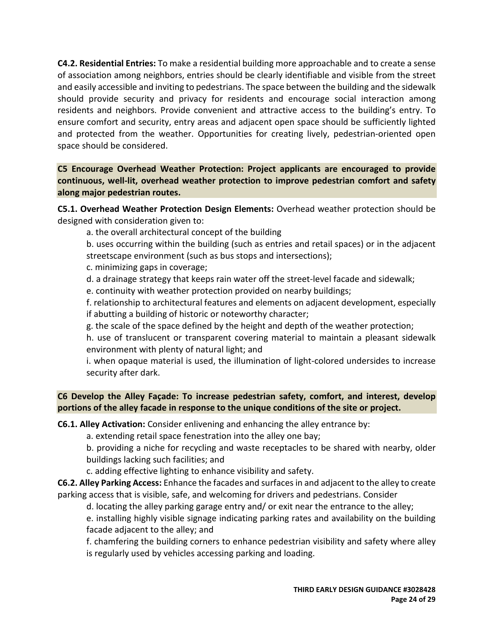**C4.2. Residential Entries:** To make a residential building more approachable and to create a sense of association among neighbors, entries should be clearly identifiable and visible from the street and easily accessible and inviting to pedestrians. The space between the building and the sidewalk should provide security and privacy for residents and encourage social interaction among residents and neighbors. Provide convenient and attractive access to the building's entry. To ensure comfort and security, entry areas and adjacent open space should be sufficiently lighted and protected from the weather. Opportunities for creating lively, pedestrian-oriented open space should be considered.

**C5 Encourage Overhead Weather Protection: Project applicants are encouraged to provide continuous, well-lit, overhead weather protection to improve pedestrian comfort and safety along major pedestrian routes.**

**C5.1. Overhead Weather Protection Design Elements:** Overhead weather protection should be designed with consideration given to:

a. the overall architectural concept of the building

b. uses occurring within the building (such as entries and retail spaces) or in the adjacent streetscape environment (such as bus stops and intersections);

c. minimizing gaps in coverage;

d. a drainage strategy that keeps rain water off the street-level facade and sidewalk;

e. continuity with weather protection provided on nearby buildings;

f. relationship to architectural features and elements on adjacent development, especially if abutting a building of historic or noteworthy character;

g. the scale of the space defined by the height and depth of the weather protection;

h. use of translucent or transparent covering material to maintain a pleasant sidewalk environment with plenty of natural light; and

i. when opaque material is used, the illumination of light-colored undersides to increase security after dark.

**C6 Develop the Alley Façade: To increase pedestrian safety, comfort, and interest, develop portions of the alley facade in response to the unique conditions of the site or project.**

**C6.1. Alley Activation:** Consider enlivening and enhancing the alley entrance by:

a. extending retail space fenestration into the alley one bay;

b. providing a niche for recycling and waste receptacles to be shared with nearby, older buildings lacking such facilities; and

c. adding effective lighting to enhance visibility and safety.

**C6.2. Alley Parking Access:** Enhance the facades and surfaces in and adjacent to the alley to create parking access that is visible, safe, and welcoming for drivers and pedestrians. Consider

d. locating the alley parking garage entry and/ or exit near the entrance to the alley;

e. installing highly visible signage indicating parking rates and availability on the building facade adjacent to the alley; and

f. chamfering the building corners to enhance pedestrian visibility and safety where alley is regularly used by vehicles accessing parking and loading.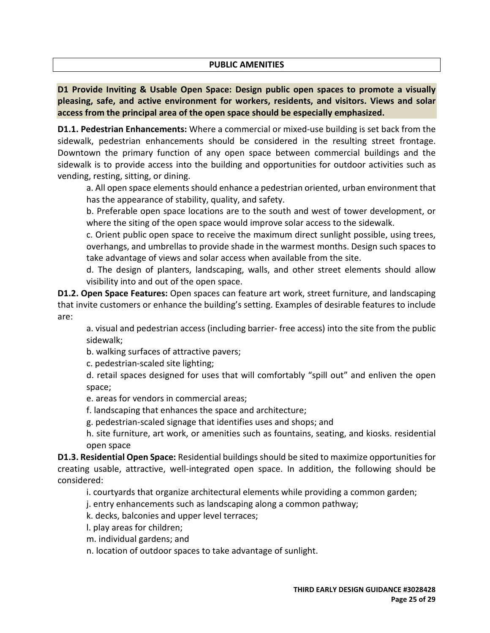#### **PUBLIC AMENITIES**

**D1 Provide Inviting & Usable Open Space: Design public open spaces to promote a visually pleasing, safe, and active environment for workers, residents, and visitors. Views and solar access from the principal area of the open space should be especially emphasized.**

**D1.1. Pedestrian Enhancements:** Where a commercial or mixed-use building is set back from the sidewalk, pedestrian enhancements should be considered in the resulting street frontage. Downtown the primary function of any open space between commercial buildings and the sidewalk is to provide access into the building and opportunities for outdoor activities such as vending, resting, sitting, or dining.

a. All open space elements should enhance a pedestrian oriented, urban environment that has the appearance of stability, quality, and safety.

b. Preferable open space locations are to the south and west of tower development, or where the siting of the open space would improve solar access to the sidewalk.

c. Orient public open space to receive the maximum direct sunlight possible, using trees, overhangs, and umbrellas to provide shade in the warmest months. Design such spaces to take advantage of views and solar access when available from the site.

d. The design of planters, landscaping, walls, and other street elements should allow visibility into and out of the open space.

**D1.2. Open Space Features:** Open spaces can feature art work, street furniture, and landscaping that invite customers or enhance the building's setting. Examples of desirable features to include are:

a. visual and pedestrian access (including barrier- free access) into the site from the public sidewalk;

b. walking surfaces of attractive pavers;

c. pedestrian-scaled site lighting;

d. retail spaces designed for uses that will comfortably "spill out" and enliven the open space;

e. areas for vendors in commercial areas;

f. landscaping that enhances the space and architecture;

g. pedestrian-scaled signage that identifies uses and shops; and

h. site furniture, art work, or amenities such as fountains, seating, and kiosks. residential open space

**D1.3. Residential Open Space:** Residential buildings should be sited to maximize opportunities for creating usable, attractive, well-integrated open space. In addition, the following should be considered:

i. courtyards that organize architectural elements while providing a common garden;

j. entry enhancements such as landscaping along a common pathway;

k. decks, balconies and upper level terraces;

l. play areas for children;

m. individual gardens; and

n. location of outdoor spaces to take advantage of sunlight.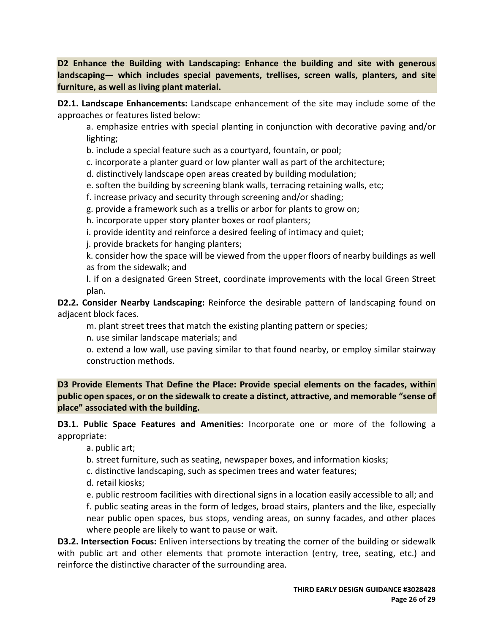**D2 Enhance the Building with Landscaping: Enhance the building and site with generous landscaping— which includes special pavements, trellises, screen walls, planters, and site furniture, as well as living plant material.**

**D2.1. Landscape Enhancements:** Landscape enhancement of the site may include some of the approaches or features listed below:

a. emphasize entries with special planting in conjunction with decorative paving and/or lighting;

- b. include a special feature such as a courtyard, fountain, or pool;
- c. incorporate a planter guard or low planter wall as part of the architecture;
- d. distinctively landscape open areas created by building modulation;
- e. soften the building by screening blank walls, terracing retaining walls, etc;
- f. increase privacy and security through screening and/or shading;
- g. provide a framework such as a trellis or arbor for plants to grow on;
- h. incorporate upper story planter boxes or roof planters;
- i. provide identity and reinforce a desired feeling of intimacy and quiet;
- j. provide brackets for hanging planters;

k. consider how the space will be viewed from the upper floors of nearby buildings as well as from the sidewalk; and

l. if on a designated Green Street, coordinate improvements with the local Green Street plan.

**D2.2. Consider Nearby Landscaping:** Reinforce the desirable pattern of landscaping found on adjacent block faces.

m. plant street trees that match the existing planting pattern or species;

n. use similar landscape materials; and

o. extend a low wall, use paving similar to that found nearby, or employ similar stairway construction methods.

**D3 Provide Elements That Define the Place: Provide special elements on the facades, within public open spaces, or on the sidewalk to create a distinct, attractive, and memorable "sense of place" associated with the building.**

**D3.1. Public Space Features and Amenities:** Incorporate one or more of the following a appropriate:

a. public art;

b. street furniture, such as seating, newspaper boxes, and information kiosks;

c. distinctive landscaping, such as specimen trees and water features;

d. retail kiosks;

e. public restroom facilities with directional signs in a location easily accessible to all; and f. public seating areas in the form of ledges, broad stairs, planters and the like, especially near public open spaces, bus stops, vending areas, on sunny facades, and other places where people are likely to want to pause or wait.

**D3.2. Intersection Focus:** Enliven intersections by treating the corner of the building or sidewalk with public art and other elements that promote interaction (entry, tree, seating, etc.) and reinforce the distinctive character of the surrounding area.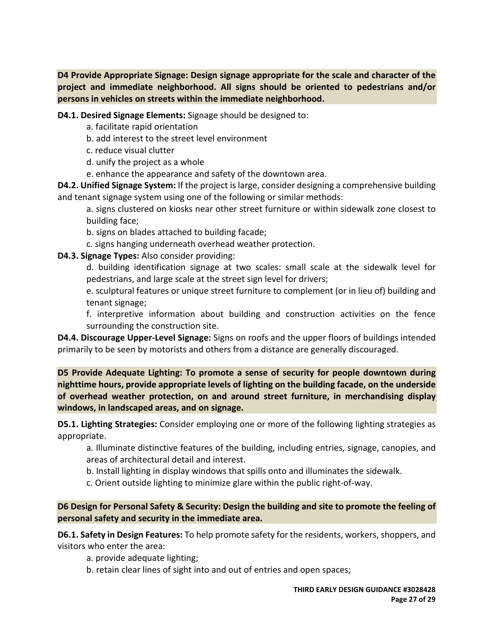**D4 Provide Appropriate Signage: Design signage appropriate for the scale and character of the project and immediate neighborhood. All signs should be oriented to pedestrians and/or persons in vehicles on streets within the immediate neighborhood.**

**D4.1. Desired Signage Elements:** Signage should be designed to:

- a. facilitate rapid orientation
- b. add interest to the street level environment
- c. reduce visual clutter
- d. unify the project as a whole
- e. enhance the appearance and safety of the downtown area.

**D4.2. Unified Signage System:** If the project is large, consider designing a comprehensive building and tenant signage system using one of the following or similar methods:

a. signs clustered on kiosks near other street furniture or within sidewalk zone closest to building face;

b. signs on blades attached to building facade;

c. signs hanging underneath overhead weather protection.

# **D4.3. Signage Types:** Also consider providing:

d. building identification signage at two scales: small scale at the sidewalk level for pedestrians, and large scale at the street sign level for drivers;

e. sculptural features or unique street furniture to complement (or in lieu of) building and tenant signage;

f. interpretive information about building and construction activities on the fence surrounding the construction site.

**D4.4. Discourage Upper-Level Signage:** Signs on roofs and the upper floors of buildings intended primarily to be seen by motorists and others from a distance are generally discouraged.

**D5 Provide Adequate Lighting: To promote a sense of security for people downtown during nighttime hours, provide appropriate levels of lighting on the building facade, on the underside of overhead weather protection, on and around street furniture, in merchandising display windows, in landscaped areas, and on signage.**

**D5.1. Lighting Strategies:** Consider employing one or more of the following lighting strategies as appropriate.

a. Illuminate distinctive features of the building, including entries, signage, canopies, and areas of architectural detail and interest.

b. Install lighting in display windows that spills onto and illuminates the sidewalk.

c. Orient outside lighting to minimize glare within the public right-of-way.

**D6 Design for Personal Safety & Security: Design the building and site to promote the feeling of personal safety and security in the immediate area.**

**D6.1. Safety in Design Features:** To help promote safety for the residents, workers, shoppers, and visitors who enter the area:

a. provide adequate lighting;

b. retain clear lines of sight into and out of entries and open spaces;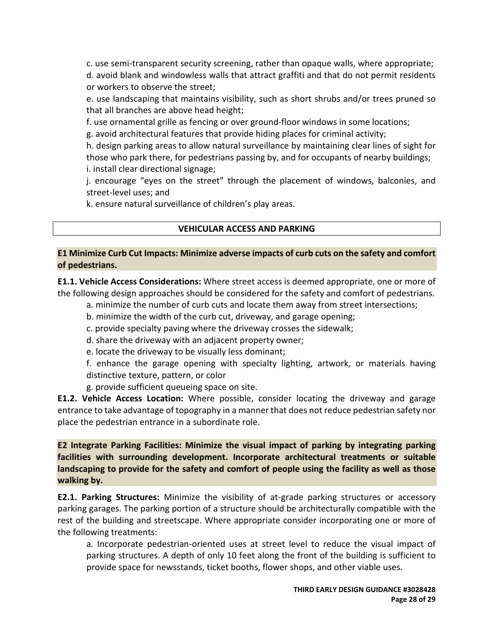c. use semi-transparent security screening, rather than opaque walls, where appropriate; d. avoid blank and windowless walls that attract graffiti and that do not permit residents or workers to observe the street;

e. use landscaping that maintains visibility, such as short shrubs and/or trees pruned so that all branches are above head height;

f. use ornamental grille as fencing or over ground-floor windows in some locations;

g. avoid architectural features that provide hiding places for criminal activity;

h. design parking areas to allow natural surveillance by maintaining clear lines of sight for those who park there, for pedestrians passing by, and for occupants of nearby buildings; i. install clear directional signage;

j. encourage "eyes on the street" through the placement of windows, balconies, and street-level uses; and

k. ensure natural surveillance of children's play areas.

## **VEHICULAR ACCESS AND PARKING**

### **E1 Minimize Curb Cut Impacts: Minimize adverse impacts of curb cuts on the safety and comfort of pedestrians.**

**E1.1. Vehicle Access Considerations:** Where street access is deemed appropriate, one or more of the following design approaches should be considered for the safety and comfort of pedestrians.

- a. minimize the number of curb cuts and locate them away from street intersections;
- b. minimize the width of the curb cut, driveway, and garage opening;
- c. provide specialty paving where the driveway crosses the sidewalk;
- d. share the driveway with an adjacent property owner;
- e. locate the driveway to be visually less dominant;

f. enhance the garage opening with specialty lighting, artwork, or materials having distinctive texture, pattern, or color

g. provide sufficient queueing space on site.

**E1.2. Vehicle Access Location:** Where possible, consider locating the driveway and garage entrance to take advantage of topography in a manner that does not reduce pedestrian safety nor place the pedestrian entrance in a subordinate role.

**E2 Integrate Parking Facilities: Minimize the visual impact of parking by integrating parking facilities with surrounding development. Incorporate architectural treatments or suitable landscaping to provide for the safety and comfort of people using the facility as well as those walking by.**

**E2.1. Parking Structures:** Minimize the visibility of at-grade parking structures or accessory parking garages. The parking portion of a structure should be architecturally compatible with the rest of the building and streetscape. Where appropriate consider incorporating one or more of the following treatments:

a. Incorporate pedestrian-oriented uses at street level to reduce the visual impact of parking structures. A depth of only 10 feet along the front of the building is sufficient to provide space for newsstands, ticket booths, flower shops, and other viable uses.